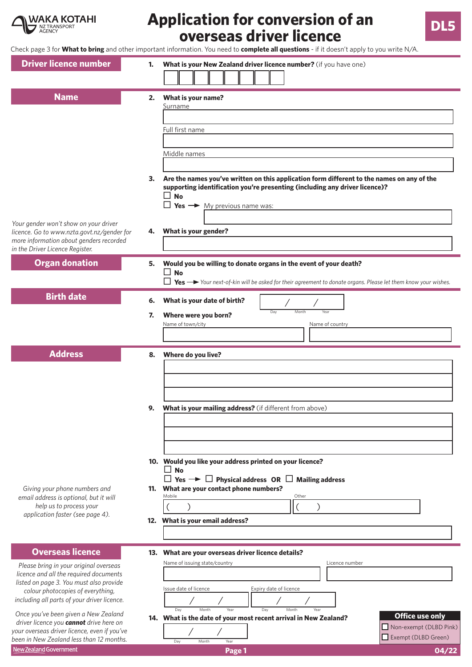

# **Application for conversion of an overseas driver licence DL5**

Check page 3 for **What to bring** and other important information. You need to **complete all questions** - if it doesn't apply to you write N/A.

| <b>Driver licence number</b>                                                                                                                                                                                                               | 1.             | What is your New Zealand driver licence number? (if you have one)                                                                                                                                                                                                                                                                                    |
|--------------------------------------------------------------------------------------------------------------------------------------------------------------------------------------------------------------------------------------------|----------------|------------------------------------------------------------------------------------------------------------------------------------------------------------------------------------------------------------------------------------------------------------------------------------------------------------------------------------------------------|
| <b>Name</b><br>Your gender won't show on your driver<br>licence. Go to www.nzta.govt.nz/gender for<br>more information about genders recorded                                                                                              | 2.<br>3.<br>4. | What is your name?<br>Surname<br>Full first name<br>Middle names<br>Are the names you've written on this application form different to the names on any of the<br>supporting identification you're presenting (including any driver licence)?<br>$\mathsf{L}$<br><b>No</b><br>$\Box$ Yes $\rightarrow$ My previous name was:<br>What is your gender? |
| in the Driver Licence Register.<br><b>Organ donation</b>                                                                                                                                                                                   | 5.             | Would you be willing to donate organs in the event of your death?<br>$\square$ No<br>$\Box$ Yes $\rightarrow$ Your next-of-kin will be asked for their agreement to donate organs. Please let them know your wishes.                                                                                                                                 |
| <b>Birth date</b>                                                                                                                                                                                                                          | 6.<br>7.       | What is your date of birth?<br>Month<br>Day<br>Year<br>Where were you born?<br>Name of town/city<br>Name of country                                                                                                                                                                                                                                  |
| <b>Address</b>                                                                                                                                                                                                                             | 8.<br>9.       | Where do you live?<br>What is your mailing address? (if different from above)                                                                                                                                                                                                                                                                        |
| Giving your phone numbers and<br>email address is optional, but it will<br>help us to process your<br>application faster (see page 4).                                                                                                     | 11.            | 10. Would you like your address printed on your licence?<br>$\square$ No<br>$\Box$ Yes $\rightarrow$ $\Box$ Physical address OR $\Box$ Mailing address<br>What are your contact phone numbers?<br>Mobile<br>Other<br>12. What is your email address?                                                                                                 |
| <b>Overseas licence</b><br>Please bring in your original overseas<br>licence and all the required documents<br>listed on page 3. You must also provide<br>colour photocopies of everything,<br>including all parts of your driver licence. |                | 13. What are your overseas driver licence details?<br>Name of issuing state/country<br>Licence number<br>Issue date of licence<br>Expiry date of licence<br>Day<br>Dav<br>Month<br>Year<br>Month                                                                                                                                                     |
| Once you've been given a New Zealand<br>driver licence you cannot drive here on<br>your overseas driver licence, even if you've<br>been in New Zealand less than 12 months.<br>New Zealand Government                                      |                | <b>Office use only</b><br>14. What is the date of your most recent arrival in New Zealand?<br>Non-exempt (DLBD Pink)<br>Exempt (DLBD Green)<br>Month<br>Day<br>Year<br>04/22<br>Page 1                                                                                                                                                               |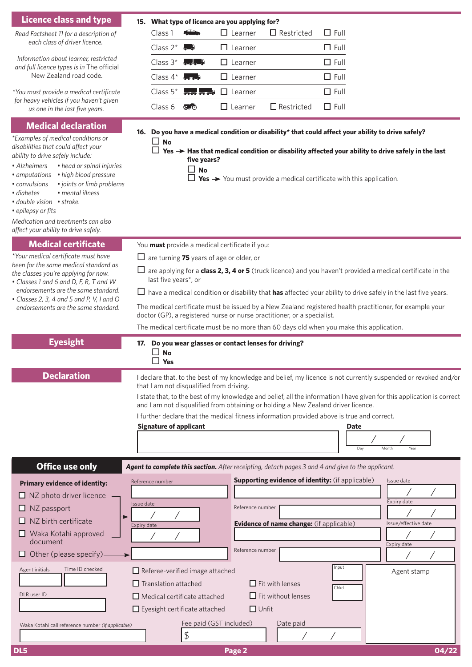| <b>Licence class and type</b>                                                                                                                                                                                                                                                                                                                                                                                                                       | 15. What type of licence are you applying for?                                                                                                                                                                                                                                                                                                                                                                                                                                                                                                                                                                                                                           |
|-----------------------------------------------------------------------------------------------------------------------------------------------------------------------------------------------------------------------------------------------------------------------------------------------------------------------------------------------------------------------------------------------------------------------------------------------------|--------------------------------------------------------------------------------------------------------------------------------------------------------------------------------------------------------------------------------------------------------------------------------------------------------------------------------------------------------------------------------------------------------------------------------------------------------------------------------------------------------------------------------------------------------------------------------------------------------------------------------------------------------------------------|
| Read Factsheet 11 for a description of<br>each class of driver licence.                                                                                                                                                                                                                                                                                                                                                                             | $\Box$ Full<br><b>Silver</b><br>$\Box$ Learner<br>$\Box$ Restricted<br>Class 1                                                                                                                                                                                                                                                                                                                                                                                                                                                                                                                                                                                           |
|                                                                                                                                                                                                                                                                                                                                                                                                                                                     | $\Box$ Full<br>Class $2^*$<br>$\Box$ Learner                                                                                                                                                                                                                                                                                                                                                                                                                                                                                                                                                                                                                             |
| Information about learner, restricted<br>and full licence types is in The official                                                                                                                                                                                                                                                                                                                                                                  | $\Box$ Full<br>Class $3^*$<br>0.25<br>$\Box$ Learner                                                                                                                                                                                                                                                                                                                                                                                                                                                                                                                                                                                                                     |
| New Zealand road code.                                                                                                                                                                                                                                                                                                                                                                                                                              | $\Box$ Full<br>$\Box$ Learner<br>Class $4^*$                                                                                                                                                                                                                                                                                                                                                                                                                                                                                                                                                                                                                             |
| *You must provide a medical certificate                                                                                                                                                                                                                                                                                                                                                                                                             | $\Box$ Full<br>Class $5^*$<br>$\Box$ Learner<br>$\sim$ $\sim$ $\sim$ $\sim$                                                                                                                                                                                                                                                                                                                                                                                                                                                                                                                                                                                              |
| for heavy vehicles if you haven't given<br>us one in the last five years.                                                                                                                                                                                                                                                                                                                                                                           | $\Box$ Restricted<br>$\Box$ Full<br>Class 6<br>$\Box$ Learner<br>അ                                                                                                                                                                                                                                                                                                                                                                                                                                                                                                                                                                                                       |
| <b>Medical declaration</b><br>*Examples of medical conditions or<br>disabilities that could affect your<br>ability to drive safely include:<br>• Alzheimers<br>• head or spinal injuries<br>• high blood pressure<br>• amputations<br>· joints or limb problems<br>• convulsions<br>· mental illness<br>· diabetes<br>· double vision · stroke.<br>· epilepsy or fits<br>Medication and treatments can also<br>affect your ability to drive safely. | 16. Do you have a medical condition or disability* that could affect your ability to drive safely?<br>$\square$ No<br>Yes → Has that medical condition or disability affected your ability to drive safely in the last<br>five years?<br>$\square$ No<br>Yes $\rightarrow$ You must provide a medical certificate with this application.<br>□                                                                                                                                                                                                                                                                                                                            |
| <b>Medical certificate</b><br>*Your medical certificate must have<br>been for the same medical standard as<br>the classes you're applying for now.<br>• Classes 1 and 6 and D, F, R, T and W<br>endorsements are the same standard.<br>• Classes 2, 3, 4 and 5 and P, V, I and O<br>endorsements are the same standard.                                                                                                                             | You must provide a medical certificate if you:<br>$\Box$ are turning 75 years of age or older, or<br>$\Box$ are applying for a <b>class 2, 3, 4 or 5</b> (truck licence) and you haven't provided a medical certificate in the<br>last five years*, or<br>$\Box$ have a medical condition or disability that <b>has</b> affected your ability to drive safely in the last five years.<br>The medical certificate must be issued by a New Zealand registered health practitioner, for example your<br>doctor (GP), a registered nurse or nurse practitioner, or a specialist.<br>The medical certificate must be no more than 60 days old when you make this application. |
| <b>Eyesight</b>                                                                                                                                                                                                                                                                                                                                                                                                                                     | 17. Do you wear glasses or contact lenses for driving?<br><b>No</b><br>$\Box$ Yes                                                                                                                                                                                                                                                                                                                                                                                                                                                                                                                                                                                        |
| <b>Declaration</b>                                                                                                                                                                                                                                                                                                                                                                                                                                  | I declare that, to the best of my knowledge and belief, my licence is not currently suspended or revoked and/or<br>that I am not disqualified from driving.<br>I state that, to the best of my knowledge and belief, all the information I have given for this application is correct<br>and I am not disqualified from obtaining or holding a New Zealand driver licence.<br>I further declare that the medical fitness information provided above is true and correct.<br><b>Signature of applicant</b><br><b>Date</b><br>Day<br>Month<br>Year                                                                                                                         |
| <b>Office use only</b>                                                                                                                                                                                                                                                                                                                                                                                                                              | Agent to complete this section. After receipting, detach pages 3 and 4 and give to the applicant.                                                                                                                                                                                                                                                                                                                                                                                                                                                                                                                                                                        |
| <b>Primary evidence of identity:</b><br>$\Box$ NZ photo driver licence<br>NZ passport<br>NZ birth certificate<br>$\Box$ Waka Kotahi approved<br>document                                                                                                                                                                                                                                                                                            | Supporting evidence of identity: (if applicable)<br>Issue date<br>Reference number<br>Expiry date<br>Issue date<br>Reference number<br>Evidence of name change: (if applicable)<br>Issue/effective date<br>Expiry date<br>Expiry date<br>Reference number                                                                                                                                                                                                                                                                                                                                                                                                                |
| Other (please specify)                                                                                                                                                                                                                                                                                                                                                                                                                              |                                                                                                                                                                                                                                                                                                                                                                                                                                                                                                                                                                                                                                                                          |
| Time ID checked<br>Agent initials<br>DLR user ID<br>Waka Kotahi call reference number (if applicable)                                                                                                                                                                                                                                                                                                                                               | Input<br>$\Box$ Referee-verified image attached<br>Agent stamp<br>$\Box$ Fit with lenses<br>$\Box$ Translation attached<br>Chkd<br>$\Box$ Fit without lenses<br>$\Box$ Medical certificate attached<br>$\Box$ Eyesight certificate attached<br>$\Box$ Unfit<br>Fee paid (GST included)<br>Date paid<br>\$                                                                                                                                                                                                                                                                                                                                                                |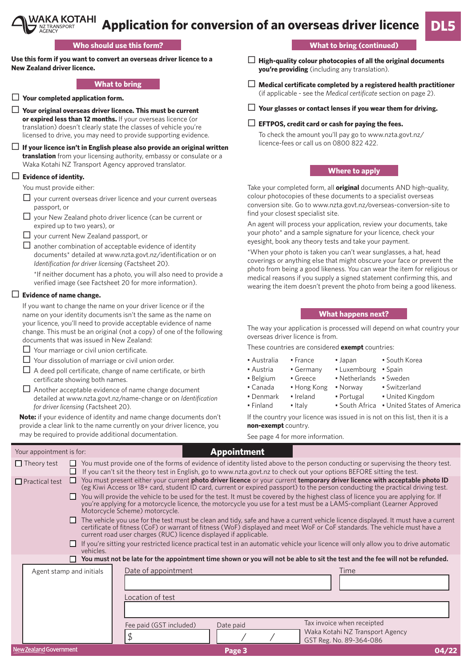#### VAKA KOTAHI **Application for conversion of an overseas driver licence** NZ TRANSPORT<br>AGENCY

# **Who should use this form?**

**Use this form if you want to convert an overseas driver licence to a New Zealand driver licence.**

# **What to bring**

- **Your completed application form.**
- **Your original overseas driver licence. This must be current or expired less than 12 months.** If your overseas licence (or translation) doesn't clearly state the classes of vehicle you're licensed to drive, you may need to provide supporting evidence.
- **If your licence isn't in English please also provide an original written translation** from your licensing authority, embassy or consulate or a Waka Kotahi NZ Transport Agency approved translator.

# **Evidence of identity.**

You must provide either:

- $\Box$  your current overseas driver licence and your current overseas passport, or
- □ your New Zealand photo driver licence (can be current or expired up to two years), or
- □ your current New Zealand passport, or
- $\Box$  another combination of acceptable evidence of identity documents\* detailed at www.nzta.govt.nz/identification or on *Identification for driver licensing* (Factsheet 20).

\*If neither document has a photo, you will also need to provide a verified image (see Factsheet 20 for more information).

# **Evidence of name change.**

If you want to change the name on your driver licence or if the name on your identity documents isn't the same as the name on your licence, you'll need to provide acceptable evidence of name change. This must be an original (not a copy) of one of the following documents that was issued in New Zealand:

- □ Your marriage or civil union certificate.
- $\Box$  Your dissolution of marriage or civil union order.
- $\Box$  A deed poll certificate, change of name certificate, or birth certificate showing both names.
- $\Box$  Another acceptable evidence of name change document detailed at www.nzta.govt.nz/name-change or on *Identification for driver licensing* (Factsheet 20).

**Note:** if your evidence of identity and name change documents don't provide a clear link to the name currently on your driver licence, you may be required to provide additional documentation.

**What to bring (continued)**

**DL5**

- **High-quality colour photocopies of all the original documents you're providing** (including any translation).
- **Medical certificate completed by a registered health practitioner** (if applicable - see the *Medical certificate* section on page 2).
- **Your glasses or contact lenses if you wear them for driving.**
- **EFTPOS, credit card or cash for paying the fees.**

# **Where to apply**

Take your completed form, all **original** documents AND high-quality, colour photocopies of these documents to a specialist overseas conversion site. Go to www.nzta.govt.nz/overseas-conversion-site to find your closest specialist site.

An agent will process your application, review your documents, take your photo\* and a sample signature for your licence, check your eyesight, book any theory tests and take your payment.

\*When your photo is taken you can't wear sunglasses, a hat, head coverings or anything else that might obscure your face or prevent the photo from being a good likeness. You can wear the item for religious or medical reasons if you supply a signed statement confirming this, and wearing the item doesn't prevent the photo from being a good likeness.

#### **What happens next?**

The way your application is processed will depend on what country your overseas driver licence is from.

These countries are considered **exempt** countries:

- Australia France Japan South Korea
- Austria Germany Luxembourg Spain
- Belgium Greece Netherlands Sweden
- 
- 
- Denmark Ireland Portugal United Kingdom
- Canada Hong Kong Norway Switzerland
	-
	-
- Finland Italy South Africa United States of America

If the country your licence was issued in is not on this list, then it is a **non-exempt** country.

See page 4 for more information.

| Your appointment is for: |                          | <b>Appointment</b>                                                                                                                                                                                                                                                                                                                                                                                                                                                                                                                                                                                                                                                                                                                                                                                                                                                                                                                                                                                                                             |       |
|--------------------------|--------------------------|------------------------------------------------------------------------------------------------------------------------------------------------------------------------------------------------------------------------------------------------------------------------------------------------------------------------------------------------------------------------------------------------------------------------------------------------------------------------------------------------------------------------------------------------------------------------------------------------------------------------------------------------------------------------------------------------------------------------------------------------------------------------------------------------------------------------------------------------------------------------------------------------------------------------------------------------------------------------------------------------------------------------------------------------|-------|
| $\Box$ Theory test       | П                        | You must provide one of the forms of evidence of identity listed above to the person conducting or supervising the theory test.<br>If you can't sit the theory test in English, go to www.nzta.govt.nz to check out your options BEFORE sitting the test.                                                                                                                                                                                                                                                                                                                                                                                                                                                                                                                                                                                                                                                                                                                                                                                      |       |
| $\Box$ Practical test    | ш<br>П<br>ш              | You must present either your current photo driver licence or your current temporary driver licence with acceptable photo ID<br>(eg Kiwi Access or 18+ card, student ID card, current or expired passport) to the person conducting the practical driving test.<br>You will provide the vehicle to be used for the test. It must be covered by the highest class of licence you are applying for. If<br>you're applying for a motorcycle licence, the motorcycle you use for a test must be a LAMS-compliant (Learner Approved<br>Motorcycle Scheme) motorcycle.<br>The vehicle you use for the test must be clean and tidy, safe and have a current vehicle licence displayed. It must have a current<br>certificate of fitness (CoF) or warrant of fitness (WoF) displayed and meet WoF or CoF standards. The vehicle must have a<br>current road user charges (RUC) licence displayed if applicable.<br>If you're sitting your restricted licence practical test in an automatic vehicle your licence will only allow you to drive automatic |       |
|                          | vehicles.                |                                                                                                                                                                                                                                                                                                                                                                                                                                                                                                                                                                                                                                                                                                                                                                                                                                                                                                                                                                                                                                                |       |
|                          | Agent stamp and initials | You must not be late for the appointment time shown or you will not be able to sit the test and the fee will not be refunded.<br>Date of appointment<br>Time<br>Location of test                                                                                                                                                                                                                                                                                                                                                                                                                                                                                                                                                                                                                                                                                                                                                                                                                                                               |       |
| New Zealand Government   |                          | Tax invoice when receipted<br>Fee paid (GST included)<br>Date paid<br>Waka Kotahi NZ Transport Agency<br>\$<br>GST Reg. No. 89-364-086<br>Page 3                                                                                                                                                                                                                                                                                                                                                                                                                                                                                                                                                                                                                                                                                                                                                                                                                                                                                               | 04/22 |
|                          |                          |                                                                                                                                                                                                                                                                                                                                                                                                                                                                                                                                                                                                                                                                                                                                                                                                                                                                                                                                                                                                                                                |       |

To check the amount you'll pay go to www.nzta.govt.nz/ licence-fees or call us on 0800 822 422.